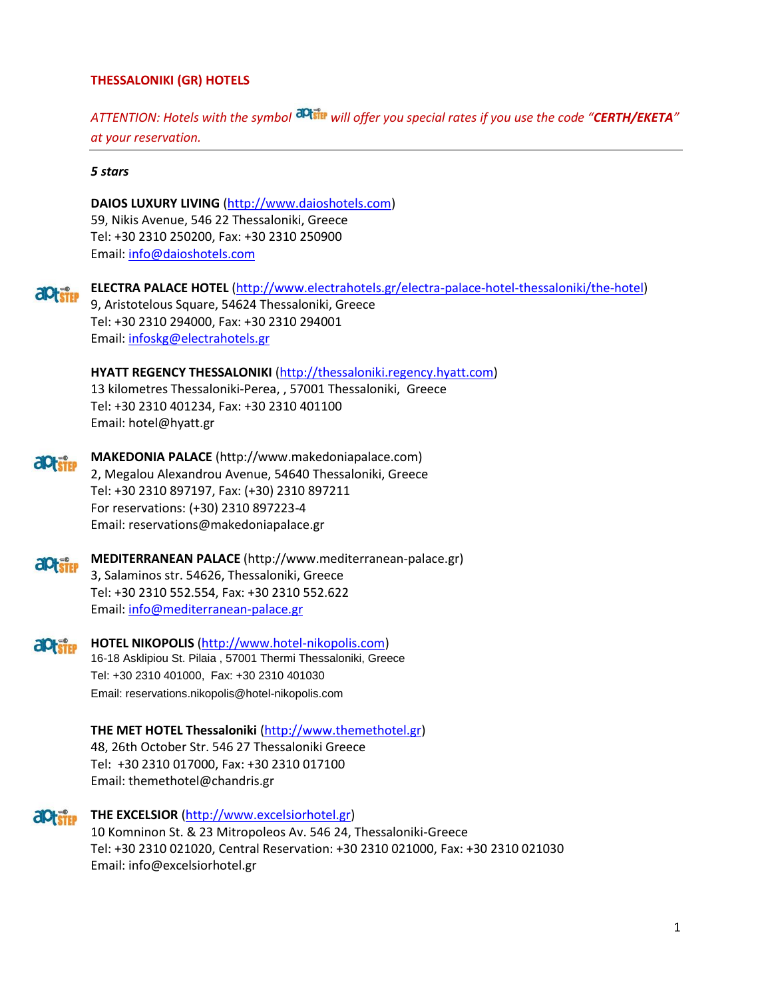# **THESSALONIKI (GR) HOTELS**

*ATTENTION: Hotels with the symbol will offer you special rates if you use the code "CERTH/EKETA" at your reservation.*

### *5 stars*

**DAIOS LUXURY LIVING** [\(http://www.daioshotels.com\)](http://www.daioshotels.com/) 59, Nikis Avenue, 546 22 Thessaloniki, Greece Tel: +30 2310 250200, Fax: +30 2310 250900 Email: [info@daioshotels.com](mailto:info@daioshotels.com)

**ELECTRA PALACE HOTEL** [\(http://www.electrahotels.gr/electra-palace-hotel-thessaloniki/the-hotel\)](http://www.electrahotels.gr/electra-palace-hotel-thessaloniki/the-hotel) *<u><u>aptstep</u>*</u> 9, Aristotelous Square, 54624 Thessaloniki, Greece Tel: +30 2310 294000, Fax: +30 2310 294001 Email: [infoskg@electrahotels.gr](mailto:infoskg@electrahotels.gr)

**HYATT REGENCY THESSALONIKI** (http://thessaloniki.regency.hyatt.com) 13 kilometres Thessaloniki-Perea, , 57001 Thessaloniki, Greece Tel: +30 2310 401234, Fax: +30 2310 401100 Email: [hotel@hyatt.gr](mailto:hotel@hyatt.gr)

**MAKEDONIA PALACE** (http://www.makedoniapalace.com) aptsTEP 2, Megalou Alexandrou Avenue, 54640 Thessaloniki, Greece Tel: +30 2310 897197, Fax: (+30) 2310 897211 For reservations: (+30) 2310 897223-4 Email: reservations@makedoniapalace.gr



**HOTEL NIKOPOLIS** [\(http://www.hotel-nikopolis.com\)](http://www.hotel-nikopolis.com/) aptstep 16-18 Asklipiou St. Pilaia , 57001 Thermi Thessaloniki, Greece Tel: +30 2310 401000, Fax: +30 2310 401030 Email: reservations.nikopolis@hotel-nikopolis.com

> **THE MET HOTEL Thessaloniki** [\(http://www.themethotel.gr\)](http://www.themethotel.gr/) 48, 26th October Str. 546 27 Thessaloniki Greece Tel: +30 2310 017000, Fax: +30 2310 017100 Email: [themethotel@chandris.gr](mailto:themethotel@chandris.gr)

**aptsite THE EXCELSIOR** [\(http://www.excelsiorhotel.gr\)](http://www.excelsiorhotel.gr/) 10 Komninon St. & 23 Mitropoleos Av. 546 24, Thessaloniki-Greece Tel: +30 2310 021020, Central Reservation: +30 2310 021000, Fax: +30 2310 021030 Email: info@excelsiorhotel.gr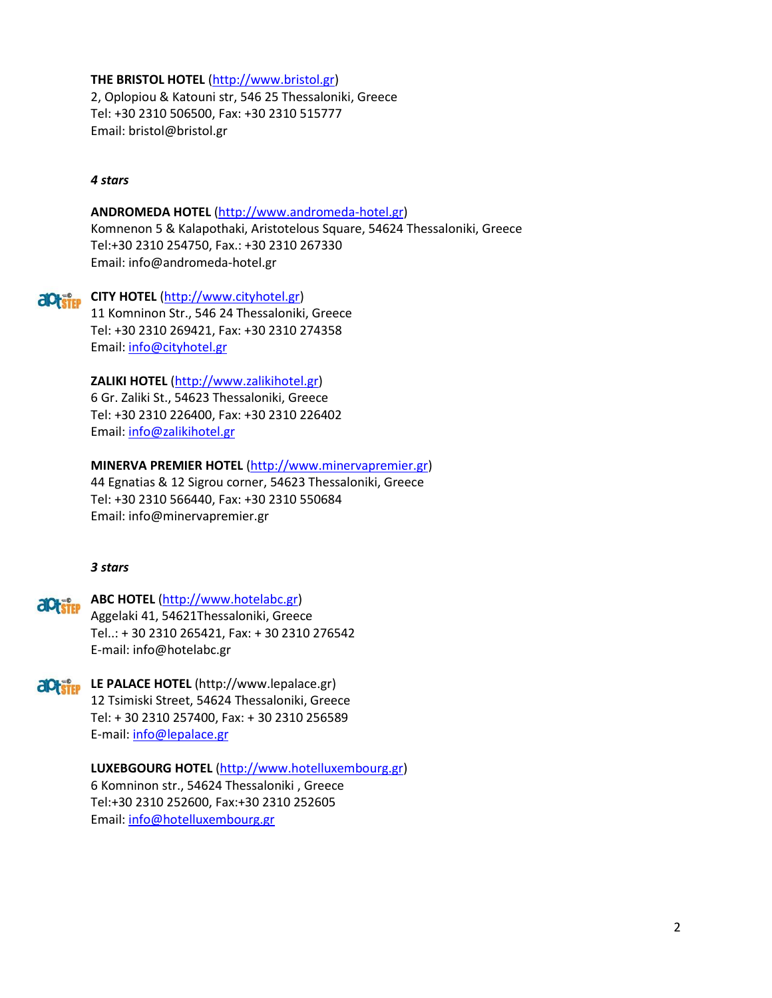# **THE BRISTOL HOTEL** [\(http://www.bristol.gr\)](http://www.bristol.gr/)

2, Oplopiou & Katouni str, 546 25 Thessaloniki, Greece Tel: +30 2310 506500, Fax: +30 2310 515777 Email: bristol@bristol.gr

### *4 stars*

### **ANDROMEDA HOTEL** [\(http://www.andromeda-hotel.gr\)](http://www.andromeda-hotel.gr/)

Komnenon 5 & Kalapothaki, Aristotelous Square, 54624 Thessaloniki, Greece Tel:+30 2310 254750, Fax.: +30 2310 267330 Email: info@andromeda-hotel.gr

# **CITY HOTEL** [\(http://www.cityhotel.gr\)](http://www.cityhotel.gr/)

11 Komninon Str., 546 24 Thessaloniki, Greece Tel: +30 2310 269421, Fax: +30 2310 274358 Email: [info@cityhotel.gr](mailto:info@cityhotel.gr)

### **ZALIKI HOTEL** [\(http://www.zalikihotel.gr\)](http://www.zalikihotel.gr/)

6 Gr. Zaliki St., 54623 Thessaloniki, Greece Tel: +30 2310 226400, Fax: +30 2310 226402 Email: [info@zalikihotel.gr](mailto:info@zalikihotel.gr)

### **MINERVA PREMIER HOTEL** [\(http://www.minervapremier.gr\)](http://www.minervapremier.gr/)

44 Egnatias & 12 Sigrou corner, 54623 Thessaloniki, Greece Tel: +30 2310 566440, Fax: +30 2310 550684 Email: info@minervapremier.gr

### *3 stars*

# **ABC HOTEL** [\(http://www.hotelabc.gr\)](http://www.hotelabc.gr/) Aggelaki 41, 54621Thessaloniki, Greece Tel..: + 30 2310 265421, Fax: + 30 2310 276542 E-mail: info@hotelabc.gr

**LE PALACE HOTEL** (http://www.lepalace.gr) 12 Tsimiski Street, 54624 Thessaloniki, Greece Tel: + 30 2310 257400, Fax: + 30 2310 256589 E-mail: [info@lepalace.gr](mailto:info@lepalace.gr)

> **LUXEBGOURG HOTEL** [\(http://www.hotelluxembourg.gr\)](http://www.hotelluxembourg.gr/) 6 Komninon str., 54624 Thessaloniki , Greece Tel:+30 2310 252600, Fax:+30 2310 252605 Email: [info@hotelluxembourg.gr](mailto:info@hotelluxembourg.gr)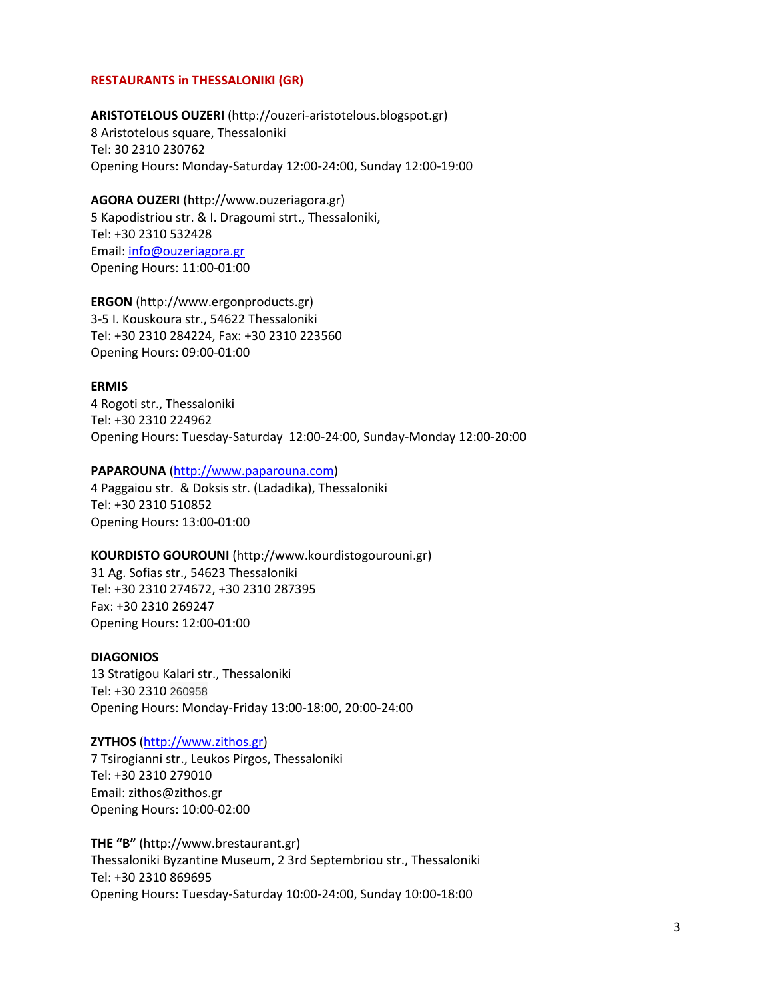### **RESTAURANTS in THESSALONIKI (GR)**

### **ARISTOTELOUS OUZERI** (http://ouzeri-aristotelous.blogspot.gr)

8 Aristotelous square, Thessaloniki Tel: 30 2310 230762 Opening Hours: Monday-Saturday 12:00-24:00, Sunday 12:00-19:00

**AGORA OUZERI** (http://www.ouzeriagora.gr) 5 Kapodistriou str. & I. Dragoumi strt., Thessaloniki, Τel: +30 2310 532428 Email: [info@ouzeriagora.gr](mailto:info@ouzeriagora.gr) Opening Hours: 11:00-01:00

**ERGON** (http://www.ergonproducts.gr) 3-5 I. Kouskoura str., 54622 Thessaloniki Tel: +30 2310 284224, Fax: +30 2310 223560 Opening Hours: 09:00-01:00

### **ERMIS**

4 Rogoti str., Thessaloniki Tel: +30 2310 224962 Opening Hours: Tuesday-Saturday 12:00-24:00, Sunday-Monday 12:00-20:00

### **PAPAROUNA** [\(http://www.paparouna.com\)](http://www.paparouna.com/)

4 Paggaiou str. & Doksis str. (Ladadika), Thessaloniki Tel: +30 2310 510852 Opening Hours: 13:00-01:00

#### **KOURDISTO GOUROUNI** (http://www.kourdistogourouni.gr)

31 Ag. Sofias str., 54623 Thessaloniki Tel: +30 2310 274672, +30 2310 287395 Fax: +30 2310 269247 Opening Hours: 12:00-01:00

### **DIAGONIOS**

13 Stratigou Kalari str., Thessaloniki Tel: +30 2310 260958 Opening Hours: Monday-Friday 13:00-18:00, 20:00-24:00

### **ZYTHOS** [\(http://www.zithos.gr\)](http://www.zithos.gr/)

7 Tsirogianni str., Leukos Pirgos, Thessaloniki Tel: +30 2310 279010 Email: zithos@zithos.gr Opening Hours: 10:00-02:00

**THE "B"** (http://www.brestaurant.gr) Thessaloniki Byzantine Museum, 2 3rd Septembriou str., Thessaloniki Tel: +30 2310 869695 Opening Hours: Tuesday-Saturday 10:00-24:00, Sunday 10:00-18:00